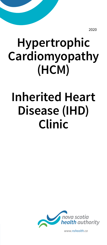2020

# **Hypertrophic Cardiomyopathy (HCM)**

## **Inherited Heart Disease (IHD) Clinic**



*www.nshealth.ca*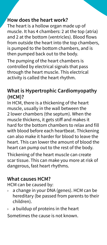#### **How does the heart work?**

The heart is a hollow organ made up of muscle. It has 4 chambers: 2 at the top (atria) and 2 at the bottom (ventricles). Blood flows from outside the heart into the top chambers, is pumped to the bottom chambers, and is then pumped back out to the body.

The pumping of the heart chambers is controlled by electrical signals that pass through the heart muscle. This electrical activity is called the heart rhythm.

## **What is Hypertrophic Cardiomyopathy (HCM)?**

In HCM, there is a thickening of the heart muscle, usually in the wall between the 2 lower chambers (the septum). When the muscle thickens, it gets stiff and makes it hard for the bottom chambers to relax and fill with blood before each heartbeat. Thickening can also make it harder for blood to leave the heart. This can lower the amount of blood the heart can pump out to the rest of the body.

Thickening of the heart muscle can create scar tissue. This can make you more at risk of dangerous, fast heart rhythms.

#### **What causes HCM?**

HCM can be caused by:

- $\rightarrow$  a change in your DNA (genes). HCM can be hereditary (be passed from parents to their children).
- $\rightarrow$  a buildup of proteins in the heart

Sometimes the cause is not known.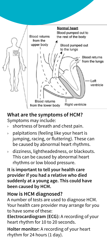

#### **What are the symptoms of HCM?**

Symptoms may include:

- $\rightarrow$  shortness of breath and chest pain.
- $\rightarrow$  palpitations (feeling like your heart is jumping, racing, or fluttering). These can be caused by abnormal heart rhythms.
- › dizziness, lightheadedness, or blackouts. This can be caused by abnormal heart rhythms or low blood pressure.

**It is important to tell your health care provider if you had a relative who died suddenly at a young age. This could have been caused by HCM.**

#### **How is HCM diagnosed?**

A number of tests are used to diagnose HCM. Your health care provider may arrange for you to have some of these:

**Electrocardiogram (ECG):** A recording of your heart rhythm for 10 to 20 seconds.

**Holter monitor:** A recording of your heart rhythm for 24 hours (1 day).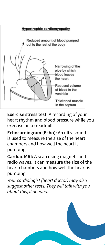

**Exercise stress test:** A recording of your heart rhythm and blood pressure while you exercise on a treadmill.

**Echocardiogram (Echo):** An ultrasound is used to measure the size of the heart chambers and how well the heart is pumping.

**Cardiac MRI:** A scan using magnets and radio waves. It can measure the size of the heart chambers and how well the heart is pumping.

*Your cardiologist (heart doctor) may also suggest other tests. They will talk with you about this, if needed.*

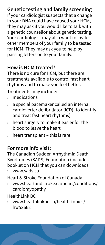## **Genetic testing and family screening**

If your cardiologist suspects that a change in your DNA could have caused your HCM, they may ask if you would like to talk with a genetic counsellor about genetic testing. Your cardiologist may also want to invite other members of your family to be tested for HCM. They may ask you to help by passing letters on to your family.

## **How is HCM treated?**

There is no cure for HCM, but there are treatments available to control fast heart rhythms and to make you feel better.

Treatments may include:

- › medications
- $\rightarrow$  a special pacemaker called an internal cardioverter defibrillator (ICD) (to identify and treat fast heart rhythms)
- $\rightarrow$  heart surgery to make it easier for the blood to leave the heart
- $\rightarrow$  heart transplant this is rare

#### **For more info visit:**

The Canadian Sudden Arrhythmia Death Syndromes (SADS) Foundation (includes booklet on HCM that you can download)

www.sads.ca

Heart & Stroke Foundation of Canada

› www.heartandstroke.ca/heart/conditions/ cardiomyopathy

HealthLink BC

› www.healthlinkbc.ca/health-topics/ hw52662